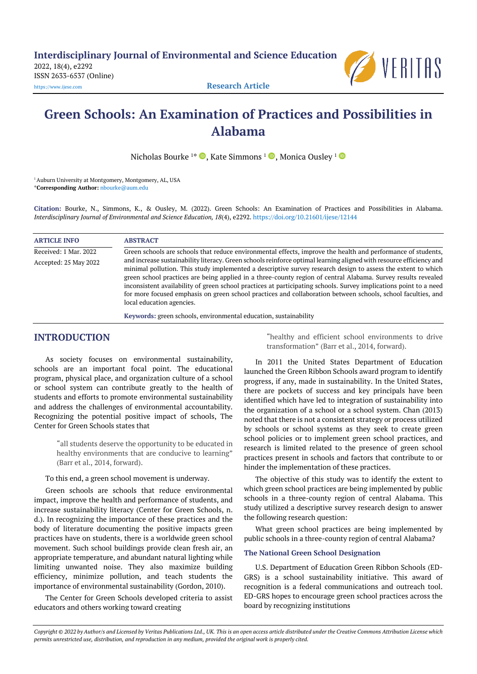**Interdisciplinary Journal of Environmental and Science Education**

2022, 18(4), e2292 ISSN 2633-6537 (Online)



[https://www.ijese.com](https://www.ijese.com/) **Research Article**

# **Green Schools: An Examination of Practices and Possibilities in Alabama**

Nicholas Bourke <sup>1</sup>\*  $\textcolor{blue} \bullet$  , Kate Simmons <sup>1</sup>  $\textcolor{blue} \bullet$  , Monica Ousley <sup>1</sup>

<sup>1</sup> Auburn University at Montgomery, Montgomery, AL, USA \***Corresponding Author:** [nbourke@aum.edu](mailto:nbourke@aum.edu)

**Citation:** Bourke, N., Simmons, K., & Ousley, M. (2022). Green Schools: An Examination of Practices and Possibilities in Alabama. *Interdisciplinary Journal of Environmental and Science Education, 18*(4), e2292. <https://doi.org/10.21601/ijese/12144>

| <b>ARTICLE INFO</b>   | <b>ABSTRACT</b>                                                                                                                                                                                                                                                                                                                                                                                                                                                                                                                                                                                                        |
|-----------------------|------------------------------------------------------------------------------------------------------------------------------------------------------------------------------------------------------------------------------------------------------------------------------------------------------------------------------------------------------------------------------------------------------------------------------------------------------------------------------------------------------------------------------------------------------------------------------------------------------------------------|
| Received: 1 Mar. 2022 | Green schools are schools that reduce environmental effects, improve the health and performance of students,                                                                                                                                                                                                                                                                                                                                                                                                                                                                                                           |
| Accepted: 25 May 2022 | and increase sustainability literacy. Green schools reinforce optimal learning aligned with resource efficiency and<br>minimal pollution. This study implemented a descriptive survey research design to assess the extent to which<br>green school practices are being applied in a three-county region of central Alabama. Survey results revealed<br>inconsistent availability of green school practices at participating schools. Survey implications point to a need<br>for more focused emphasis on green school practices and collaboration between schools, school faculties, and<br>local education agencies. |
|                       | Keywords: green schools, environmental education, sustainability                                                                                                                                                                                                                                                                                                                                                                                                                                                                                                                                                       |

# **INTRODUCTION**

As society focuses on environmental sustainability, schools are an important focal point. The educational program, physical place, and organization culture of a school or school system can contribute greatly to the health of students and efforts to promote environmental sustainability and address the challenges of environmental accountability. Recognizing the potential positive impact of schools, The Center for Green Schools states that

> "all students deserve the opportunity to be educated in healthy environments that are conducive to learning" (Barr et al., 2014, forward).

To this end, a green school movement is underway.

Green schools are schools that reduce environmental impact, improve the health and performance of students, and increase sustainability literacy (Center for Green Schools, n. d.). In recognizing the importance of these practices and the body of literature documenting the positive impacts green practices have on students, there is a worldwide green school movement. Such school buildings provide clean fresh air, an appropriate temperature, and abundant natural lighting while limiting unwanted noise. They also maximize building efficiency, minimize pollution, and teach students the importance of environmental sustainability (Gordon, 2010).

The Center for Green Schools developed criteria to assist educators and others working toward creating

"healthy and efficient school environments to drive transformation" (Barr et al., 2014, forward).

In 2011 the United States Department of Education launched the Green Ribbon Schools award program to identify progress, if any, made in sustainability. In the United States, there are pockets of success and key principals have been identified which have led to integration of sustainability into the organization of a school or a school system. Chan (2013) noted that there is not a consistent strategy or process utilized by schools or school systems as they seek to create green school policies or to implement green school practices, and research is limited related to the presence of green school practices present in schools and factors that contribute to or hinder the implementation of these practices.

The objective of this study was to identify the extent to which green school practices are being implemented by public schools in a three-county region of central Alabama. This study utilized a descriptive survey research design to answer the following research question:

What green school practices are being implemented by public schools in a three-county region of central Alabama?

## **The National Green School Designation**

U.S. Department of Education Green Ribbon Schools (ED-GRS) is a school sustainability initiative. This award of recognition is a federal communications and outreach tool. ED-GRS hopes to encourage green school practices across the board by recognizing institutions

Copyright @ 2022 by Author/s and Licensed by Veritas Publications Ltd., UK. This is an open access article distributed under the Creative Commons Attribution License which permits unrestricted use, distribution, and reproduction in any medium, provided the original work is properly cited.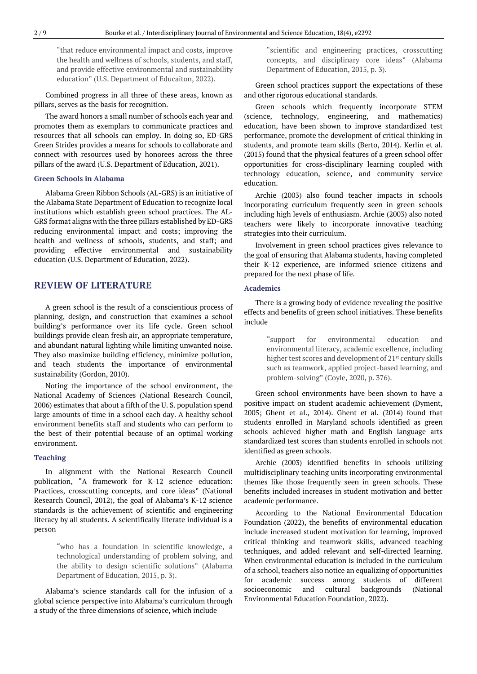"that reduce environmental impact and costs, improve the health and wellness of schools, students, and staff, and provide effective environmental and sustainability education" (U.S. Department of Educaiton, 2022).

Combined progress in all three of these areas, known as pillars, serves as the basis for recognition.

The award honors a small number of schools each year and promotes them as exemplars to communicate practices and resources that all schools can employ. In doing so, ED-GRS Green Strides provides a means for schools to collaborate and connect with resources used by honorees across the three pillars of the award (U.S. Department of Education, 2021).

## **Green Schools in Alabama**

Alabama Green Ribbon Schools (AL-GRS) is an initiative of the Alabama State Department of Education to recognize local institutions which establish green school practices. The AL-GRS format aligns with the three pillars established by ED-GRS reducing environmental impact and costs; improving the health and wellness of schools, students, and staff; and providing effective environmental and sustainability education (U.S. Department of Education, 2022).

# **REVIEW OF LITERATURE**

A green school is the result of a conscientious process of planning, design, and construction that examines a school building's performance over its life cycle. Green school buildings provide clean fresh air, an appropriate temperature, and abundant natural lighting while limiting unwanted noise. They also maximize building efficiency, minimize pollution, and teach students the importance of environmental sustainability (Gordon, 2010).

Noting the importance of the school environment, the National Academy of Sciences (National Research Council, 2006) estimates that about a fifth of the U. S. population spend large amounts of time in a school each day. A healthy school environment benefits staff and students who can perform to the best of their potential because of an optimal working environment.

#### **Teaching**

In alignment with the National Research Council publication, "A framework for K-12 science education: Practices, crosscutting concepts, and core ideas" (National Research Council, 2012), the goal of Alabama's K-12 science standards is the achievement of scientific and engineering literacy by all students. A scientifically literate individual is a person

> "who has a foundation in scientific knowledge, a technological understanding of problem solving, and the ability to design scientific solutions" (Alabama Department of Education, 2015, p. 3).

Alabama's science standards call for the infusion of a global science perspective into Alabama's curriculum through a study of the three dimensions of science, which include

"scientific and engineering practices, crosscutting concepts, and disciplinary core ideas" (Alabama Department of Education, 2015, p. 3).

Green school practices support the expectations of these and other rigorous educational standards.

Green schools which frequently incorporate STEM (science, technology, engineering, and mathematics) education, have been shown to improve standardized test performance, promote the development of critical thinking in students, and promote team skills (Berto, 2014). Kerlin et al. (2015) found that the physical features of a green school offer opportunities for cross-disciplinary learning coupled with technology education, science, and community service education.

Archie (2003) also found teacher impacts in schools incorporating curriculum frequently seen in green schools including high levels of enthusiasm. Archie (2003) also noted teachers were likely to incorporate innovative teaching strategies into their curriculum.

Involvement in green school practices gives relevance to the goal of ensuring that Alabama students, having completed their K-12 experience, are informed science citizens and prepared for the next phase of life.

#### **Academics**

There is a growing body of evidence revealing the positive effects and benefits of green school initiatives. These benefits include

> "support for environmental education and environmental literacy, academic excellence, including higher test scores and development of 21<sup>st</sup> century skills such as teamwork, applied project-based learning, and problem-solving" (Coyle, 2020, p. 376).

Green school environments have been shown to have a positive impact on student academic achievement (Dyment, 2005; Ghent et al., 2014). Ghent et al. (2014) found that students enrolled in Maryland schools identified as green schools achieved higher math and English language arts standardized test scores than students enrolled in schools not identified as green schools.

Archie (2003) identified benefits in schools utilizing multidisciplinary teaching units incorporating environmental themes like those frequently seen in green schools. These benefits included increases in student motivation and better academic performance.

According to the National Environmental Education Foundation (2022), the benefits of environmental education include increased student motivation for learning, improved critical thinking and teamwork skills, advanced teaching techniques, and added relevant and self-directed learning. When environmental education is included in the curriculum of a school, teachers also notice an equalizing of opportunities for academic success among students of different socioeconomic and cultural backgrounds (National Environmental Education Foundation, 2022).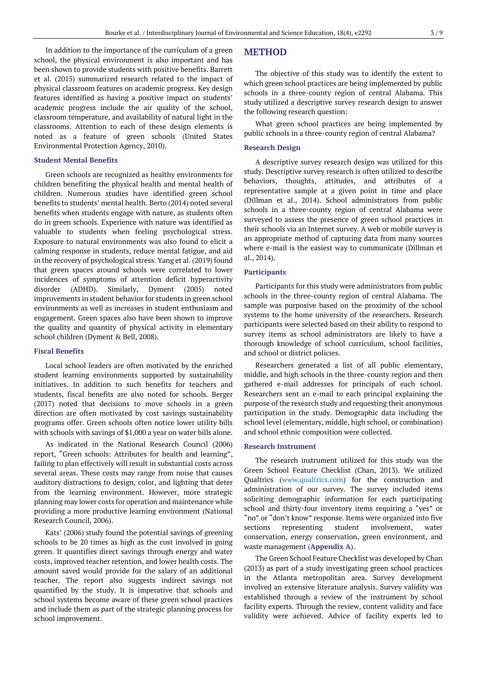In addition to the importance of the curriculum of a green school, the physical environment is also important and has been shown to provide students with positive benefits. Barrett et al. (2015) summarized research related to the impact of physical classroom features on academic progress. Key design features identified as having a positive impact on students' academic progress include the air quality of the school, classroom temperature, and availability of natural light in the classrooms. Attention to each of these design elements is noted as a feature of green schools (United States Environmental Protection Agency, 2010).

#### **Student Mental Benefits**

Green schools are recognized as healthy environments for children benefiting the physical health and mental health of children. Numerous studies have identified green school benefits to students' mental health. Berto (2014) noted several benefits when students engage with nature, as students often do in green schools. Experience with nature was identified as valuable to students when feeling psychological stress. Exposure to natural environments was also found to elicit a calming response in students, reduce mental fatigue, and aid in the recovery of psychological stress. Yang et al. (2019) found that green spaces around schools were correlated to lower incidences of symptoms of attention deficit hyperactivity disorder (ADHD). Similarly, Dyment (2005) noted improvements in student behavior for students in green school environments as well as increases in student enthusiasm and engagement. Green spaces also have been shown to improve the quality and quantity of physical activity in elementary school children (Dyment & Bell, 2008).

## **Fiscal Benefits**

Local school leaders are often motivated by the enriched student learning environments supported by sustainability initiatives. In addition to such benefits for teachers and students, fiscal benefits are also noted for schools. Berger (2017) noted that decisions to move schools in a green direction are often motivated by cost savings sustainability programs offer. Green schools often notice lower utility bills with schools with savings of \$1,000 a year on water bills alone.

As indicated in the National Research Council (2006) report, "Green schools: Attributes for health and learning", failing to plan effectively will result in substantial costs across several areas. These costs may range from noise that causes auditory distractions to design, color, and lighting that deter from the learning environment. However, more strategic planning may lower costs for operation and maintenance while providing a more productive learning environment (National Research Council, 2006).

Kats' (2006) study found the potential savings of greening schools to be 20 times as high as the cost involved in going green. It quantifies direct savings through energy and water costs, improved teacher retention, and lower health costs. The amount saved would provide for the salary of an additional teacher. The report also suggests indirect savings not quantified by the study. It is imperative that schools and school systems become aware of these green school practices and include them as part of the strategic planning process for school improvement.

# **METHOD**

The objective of this study was to identify the extent to which green school practices are being implemented by public schools in a three-county region of central Alabama. This study utilized a descriptive survey research design to answer the following research question:

What green school practices are being implemented by public schools in a three-county region of central Alabama?

#### **Research Design**

A descriptive survey research design was utilized for this study. Descriptive survey research is often utilized to describe behaviors, thoughts, attitudes, and attributes of a representative sample at a given point in time and place (Dillman et al., 2014). School administrators from public schools in a three-county region of central Alabama were surveyed to assess the presence of green school practices in their schools via an Internet survey. A web or mobile survey is an appropriate method of capturing data from many sources where e-mail is the easiest way to communicate (Dillman et al., 2014).

## **Participants**

Participants for this study were administrators from public schools in the three-county region of central Alabama. The sample was purposive based on the proximity of the school systems to the home university of the researchers. Research participants were selected based on their ability to respond to survey items as school administrators are likely to have a thorough knowledge of school curriculum, school facilities, and school or district policies.

Researchers generated a list of all public elementary, middle, and high schools in the three-county region and then gathered e-mail addresses for principals of each school. Researchers sent an e-mail to each principal explaining the purpose of the research study and requesting their anonymous participation in the study. Demographic data including the school level (elementary, middle, high school, or combination) and school ethnic composition were collected.

#### **Research Instrument**

The research instrument utilized for this study was the Green School Feature Checklist (Chan, 2013). We utilized Qualtrics [\(www.qualtrics.com\)](http://www.qualtrics.com/) for the construction and administration of our survey. The survey included items soliciting demographic information for each participating school and thirty-four inventory items requiring a "yes" or "no" or "don't know" response. Items were organized into five sections representing student involvement, water conservation, energy conservation, green environment, and waste management (**Appendix A**).

The Green School Feature Checklist was developed by Chan (2013) as part of a study investigating green school practices in the Atlanta metropolitan area. Survey development involved an extensive literature analysis. Survey validity was established through a review of the instrument by school facility experts. Through the review, content validity and face validity were achieved. Advice of facility experts led to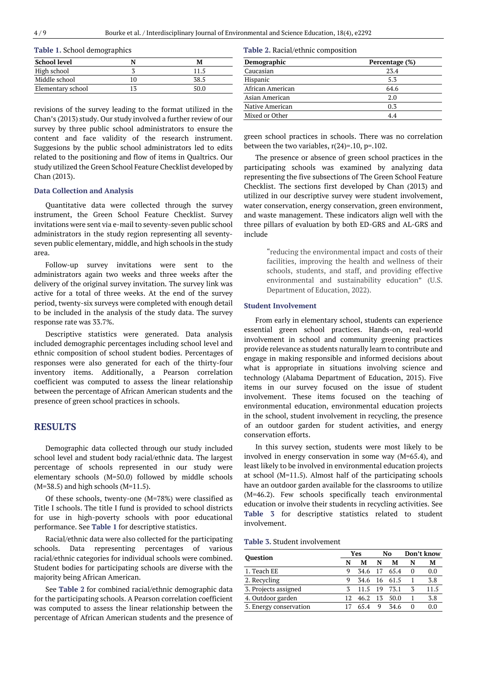|  |  | Table 1. School demographics |
|--|--|------------------------------|
|--|--|------------------------------|

| <b>School level</b> |      |
|---------------------|------|
| High school         | 11 S |
| Middle school       | 38.5 |
| Elementary school   |      |

revisions of the survey leading to the format utilized in the Chan's (2013) study. Our study involved a further review of our survey by three public school administrators to ensure the content and face validity of the research instrument. Suggesions by the public school administrators led to edits related to the positioning and flow of items in Qualtrics. Our study utilized the Green School Feature Checklist developed by Chan (2013).

#### **Data Collection and Analysis**

Quantitative data were collected through the survey instrument, the Green School Feature Checklist. Survey invitations were sent via e-mail to seventy-seven public school administrators in the study region representing all seventyseven public elementary, middle, and high schools in the study area.

Follow-up survey invitations were sent to the administrators again two weeks and three weeks after the delivery of the original survey invitation. The survey link was active for a total of three weeks. At the end of the survey period, twenty-six surveys were completed with enough detail to be included in the analysis of the study data. The survey response rate was 33.7%.

Descriptive statistics were generated. Data analysis included demographic percentages including school level and ethnic composition of school student bodies. Percentages of responses were also generated for each of the thirty-four inventory items. Additionally, a Pearson correlation coefficient was computed to assess the linear relationship between the percentage of African American students and the presence of green school practices in schools.

# **RESULTS**

Demographic data collected through our study included school level and student body racial/ethnic data. The largest percentage of schools represented in our study were elementary schools (M=50.0) followed by middle schools  $(M=38.5)$  and high schools  $(M=11.5)$ .

Of these schools, twenty-one (M=78%) were classified as Title I schools. The title I fund is provided to school districts for use in high-poverty schools with poor educational performance. See **Table 1** for descriptive statistics.

Racial/ethnic data were also collected for the participating schools. Data representing percentages of various racial/ethnic categories for individual schools were combined. Student bodies for participating schools are diverse with the majority being African American.

See **Table 2** for combined racial/ethnic demographic data for the participating schools. A Pearson correlation coefficient was computed to assess the linear relationship between the percentage of African American students and the presence of

|  | Table 2. Racial/ethnic composition |  |
|--|------------------------------------|--|
|--|------------------------------------|--|

| 23.4 |
|------|
|      |
| 5.3  |
| 64.6 |
| 2.0  |
| 0.3  |
| 4.4  |
|      |

green school practices in schools. There was no correlation between the two variables,  $r(24)=10$ ,  $p=.102$ .

The presence or absence of green school practices in the participating schools was examined by analyzing data representing the five subsections of The Green School Feature Checklist. The sections first developed by Chan (2013) and utilized in our descriptive survey were student involvement, water conservation, energy conservation, green environment, and waste management. These indicators align well with the three pillars of evaluation by both ED-GRS and AL-GRS and include

> "reducing the environmental impact and costs of their facilities, improving the health and wellness of their schools, students, and staff, and providing effective environmental and sustainability education" (U.S. Department of Education, 2022).

#### **Student Involvement**

From early in elementary school, students can experience essential green school practices. Hands-on, real-world involvement in school and community greening practices provide relevance as students naturally learn to contribute and engage in making responsible and informed decisions about what is appropriate in situations involving science and technology (Alabama Department of Education, 2015). Five items in our survey focused on the issue of student involvement. These items focused on the teaching of environmental education, environmental education projects in the school, student involvement in recycling, the presence of an outdoor garden for student activities, and energy conservation efforts.

In this survey section, students were most likely to be involved in energy conservation in some way (M=65.4), and least likely to be involved in environmental education projects at school (M=11.5). Almost half of the participating schools have an outdoor garden available for the classrooms to utilize (M=46.2). Few schools specifically teach environmental education or involve their students in recycling activities. See **Table 3** for descriptive statistics related to student involvement.

| <b>Table 3. Student involvement</b> |  |
|-------------------------------------|--|
|-------------------------------------|--|

|                        | Yes |              | No   |      | Don't know |      |
|------------------------|-----|--------------|------|------|------------|------|
| <b>Ouestion</b>        | N   | М            | N    | М    | N          | М    |
| 1. Teach EE            | 9   | 34.6         | - 17 | 65.4 | 0          | 0.0  |
| 2. Recycling           | 9   | 34.6 16 61.5 |      |      |            | 3.8  |
| 3. Projects assigned   |     | 11.5         | - 19 | 73.1 | 3          | 11.5 |
| 4. Outdoor garden      | 12  | 46.2         | 13   | 50.0 |            | 3.8  |
| 5. Energy conservation |     | 654          | 9    | 34.6 |            | 0.0  |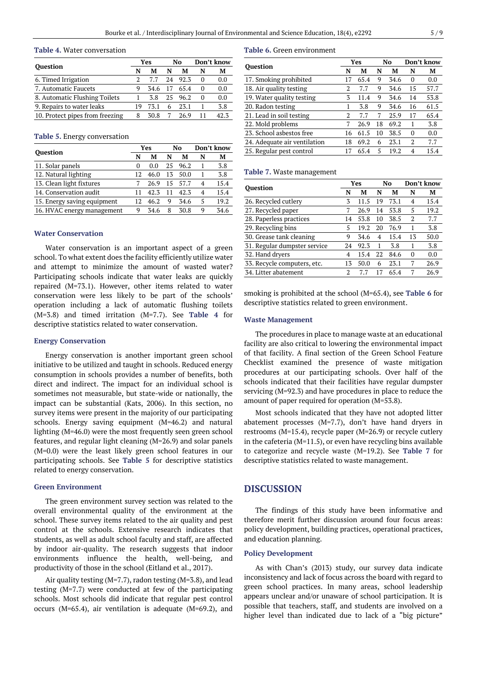#### **Table 4.** Water conversation

| <b>Ouestion</b>                 | Yes |      | No |      | Don't know |      |
|---------------------------------|-----|------|----|------|------------|------|
|                                 | N   | М    | N  | М    | N          | М    |
| 6. Timed Irrigation             |     | 77   | 24 | 92.3 | $\theta$   | 0.0  |
| 7. Automatic Faucets            |     | 34.6 | 17 | 65.4 | 0          | 0.0  |
| 8. Automatic Flushing Toilets   |     | 3.8  | 25 | 96.2 | 0          | 0.0  |
| 9. Repairs to water leaks       | 19  | 73.1 | 6  | 23.1 |            | 3.8  |
| 10. Protect pipes from freezing | 8   | 30.8 |    | 26.9 |            | 42.3 |

|  |  |  | Table 5. Energy conversation |
|--|--|--|------------------------------|
|--|--|--|------------------------------|

| <b>Ouestion</b>             |              | Yes  |    | No   |                          | Don't know |  |
|-----------------------------|--------------|------|----|------|--------------------------|------------|--|
|                             | N            | М    | N  | М    | N                        | М          |  |
| 11. Solar panels            | $\mathbf{0}$ | 0.0  | 25 | 96.2 |                          | 3.8        |  |
| 12. Natural lighting        | 12.          | 46.0 | 13 | 50.0 |                          | 3.8        |  |
| 13. Clean light fixtures    |              | 26.9 | 15 | 57.7 | 4                        | 15.4       |  |
| 14. Conservation audit      |              | 42.3 |    | 42.3 | $\overline{\mathcal{A}}$ | 15.4       |  |
| 15. Energy saving equipment | 12.          | 46.2 | 9  | 34.6 | 5                        | 19.2       |  |
| 16. HVAC energy management  | Q            | 34.6 | 8  | 30.8 | 9                        | 34.6       |  |

## **Water Conservation**

Water conservation is an important aspect of a green school. To what extent does the facility efficiently utilize water and attempt to minimize the amount of wasted water? Participating schools indicate that water leaks are quickly repaired (M=73.1). However, other items related to water conservation were less likely to be part of the schools' operation including a lack of automatic flushing toilets (M=3.8) and timed irritation (M=7.7). See **Table 4** for descriptive statistics related to water conservation.

#### **Energy Conservation**

Energy conservation is another important green school initiative to be utilized and taught in schools. Reduced energy consumption in schools provides a number of benefits, both direct and indirect. The impact for an individual school is sometimes not measurable, but state-wide or nationally, the impact can be substantial (Kats, 2006). In this section, no survey items were present in the majority of our participating schools. Energy saving equipment (M=46.2) and natural lighting (M=46.0) were the most frequently seen green school features, and regular light cleaning (M=26.9) and solar panels (M=0.0) were the least likely green school features in our participating schools. See **Table 5** for descriptive statistics related to energy conservation.

## **Green Environment**

The green environment survey section was related to the overall environmental quality of the environment at the school. These survey items related to the air quality and pest control at the schools. Extensive research indicates that students, as well as adult school faculty and staff, are affected by indoor air-quality. The research suggests that indoor environments influence the health, well-being, and productivity of those in the school (Eitland et al., 2017).

Air quality testing (M=7.7), radon testing (M=3.8), and lead testing (M=7.7) were conducted at few of the participating schools. Most schools did indicate that regular pest control occurs (M=65.4), air ventilation is adequate (M=69.2), and

#### **Table 6.** Green environment

| <b>Ouestion</b>              |    | Yes  |    | No   | Don't know |      |
|------------------------------|----|------|----|------|------------|------|
|                              | N  | М    | N  | М    | N          | М    |
| 17. Smoking prohibited       |    | 65.4 | 9  | 34.6 | 0          | 0.0  |
| 18. Air quality testing      | 2  | 7.7  | 9  | 34.6 | 15         | 57.7 |
| 19. Water quality testing    | 3  | 11.4 | 9  | 34.6 | 14         | 53.8 |
| 20. Radon testing            |    | 3.8  | 9  | 34.6 | 16         | 61.5 |
| 21. Lead in soil testing     | 2  | 7.7  | 7  | 25.9 | 17         | 65.4 |
| 22. Mold problems            | 7  | 26.9 | 18 | 69.2 | 1          | 3.8  |
| 23. School asbestos free     | 16 | 61.5 | 10 | 38.5 | $\Omega$   | 0.0  |
| 24. Adequate air ventilation | 18 | 69.2 | 6  | 23.1 | 2          | 7.7  |
| 25. Regular pest control     |    | 65.4 | 5  | 19.2 | 4          | 15.4 |

#### **Table 7.** Waste management

| <b>Ouestion</b>              |    | Yes  |    | No   |                | Don't know |  |
|------------------------------|----|------|----|------|----------------|------------|--|
|                              | N  | M    | N  | M    | N              | M          |  |
| 26. Recycled cutlery         | 3  | 11.5 | 19 | 73.1 | 4              | 15.4       |  |
| 27. Recycled paper           | 7  | 26.9 | 14 | 53.8 | 5              | 19.2       |  |
| 28. Paperless practices      | 14 | 53.8 | 10 | 38.5 | $\mathfrak{D}$ | 7.7        |  |
| 29. Recycling bins           | 5  | 19.2 | 20 | 76.9 |                | 3.8        |  |
| 30. Grease tank cleaning     | 9  | 34.6 | 4  | 15.4 | 13             | 50.0       |  |
| 31. Regular dumpster service | 24 | 92.3 | 1  | 3.8  |                | 3.8        |  |
| 32. Hand dryers              | 4  | 15.4 | 22 | 84.6 | $\mathbf{0}$   | 0.0        |  |
| 33. Recycle computers, etc.  | 13 | 50.0 | 6  | 23.1 | 7              | 26.9       |  |
| 34. Litter abatement         | 2  |      |    | 65.4 |                | 26.9       |  |

smoking is prohibited at the school (M=65.4), see **Table 6** for descriptive statistics related to green environment.

#### **Waste Management**

The procedures in place to manage waste at an educational facility are also critical to lowering the environmental impact of that facility. A final section of the Green School Feature Checklist examined the presence of waste mitigation procedures at our participating schools. Over half of the schools indicated that their facilities have regular dumpster servicing (M=92.3) and have procedures in place to reduce the amount of paper required for operation (M=53.8).

Most schools indicated that they have not adopted litter abatement processes (M=7.7), don't have hand dryers in restrooms (M=15.4), recycle paper (M=26.9) or recycle cutlery in the cafeteria (M=11.5), or even have recycling bins available to categorize and recycle waste (M=19.2). See **Table 7** for descriptive statistics related to waste management.

# **DISCUSSION**

The findings of this study have been informative and therefore merit further discussion around four focus areas: policy development, building practices, operational practices, and education planning.

## **Policy Development**

As with Chan's (2013) study, our survey data indicate inconsistency and lack of focus across the board with regard to green school practices. In many areas, school leadership appears unclear and/or unaware of school participation. It is possible that teachers, staff, and students are involved on a higher level than indicated due to lack of a "big picture"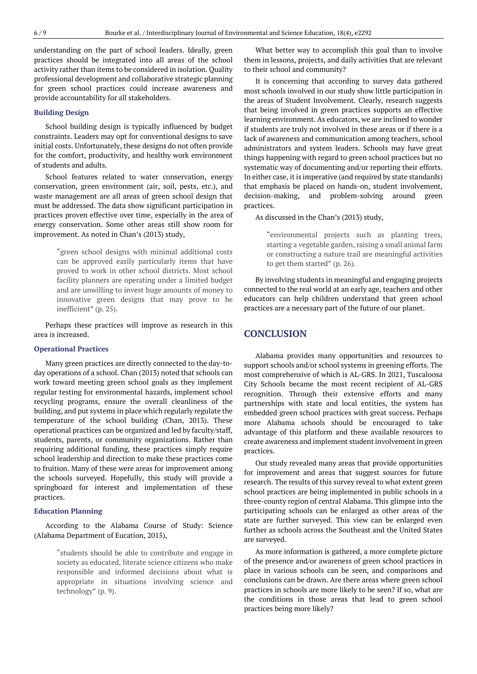understanding on the part of school leaders. Ideally, green practices should be integrated into all areas of the school activity rather than items to be considered in isolation. Quality professional development and collaborative strategic planning for green school practices could increase awareness and provide accountability for all stakeholders.

## **Building Design**

School building design is typically influenced by budget constraints. Leaders may opt for conventional designs to save initial costs. Unfortunately, these designs do not often provide for the comfort, productivity, and healthy work environment of students and adults.

School features related to water conservation, energy conservation, green environment (air, soil, pests, etc.), and waste management are all areas of green school design that must be addressed. The data show significant participation in practices proven effective over time, especially in the area of energy conservation. Some other areas still show room for improvement. As noted in Chan's (2013) study,

> "green school designs with minimal additional costs can be approved easily particularly items that have proved to work in other school districts. Most school facility planners are operating under a limited budget and are unwilling to invest huge amounts of money to innovative green designs that may prove to be inefficient" (p. 25).

Perhaps these practices will improve as research in this area is increased.

#### **Operational Practices**

Many green practices are directly connected to the day-today operations of a school. Chan (2013) noted that schools can work toward meeting green school goals as they implement regular testing for environmental hazards, implement school recycling programs, ensure the overall cleanliness of the building, and put systems in place which regularly regulate the temperature of the school building (Chan, 2013). These operational practices can be organized and led by faculty/staff, students, parents, or community organizations. Rather than requiring additional funding, these practices simply require school leadership and direction to make these practices come to fruition. Many of these were areas for improvement among the schools surveyed. Hopefully, this study will provide a springboard for interest and implementation of these practices.

## **Education Planning**

According to the Alabama Course of Study: Science (Alabama Department of Eucation, 2015),

> "students should be able to contribute and engage in society as educated, literate science citizens who make responsible and informed decisions about what is appropriate in situations involving science and technology" (p. 9).

What better way to accomplish this goal than to involve them in lessons, projects, and daily activities that are relevant to their school and community?

It is concerning that according to survey data gathered most schools involved in our study show little participation in the areas of Student Involvement. Clearly, research suggests that being involved in green practices supports an effective learning environment. As educators, we are inclined to wonder if students are truly not involved in these areas or if there is a lack of awareness and communication among teachers, school administrators and system leaders. Schools may have great things happening with regard to green school practices but no systematic way of documenting and/or reporting their efforts. In either case, it is imperative (and required by state standards) that emphasis be placed on hands-on, student involvement, decision-making, and problem-solving around green practices.

As discussed in the Chan's (2013) study,

"environmental projects such as planting trees, starting a vegetable garden, raising a small animal farm or constructing a nature trail are meaningful activities to get them started" (p. 26).

By involving students in meaningful and engaging projects connected to the real world at an early age, teachers and other educators can help children understand that green school practices are a necessary part of the future of our planet.

# **CONCLUSION**

Alabama provides many opportunities and resources to support schools and/or school systems in greening efforts. The most comprehensive of which is AL-GRS. In 2021, Tuscaloosa City Schools became the most recent recipient of AL-GRS recognition. Through their extensive efforts and many partnerships with state and local entities, the system has embedded green school practices with great success. Perhaps more Alabama schools should be encouraged to take advantage of this platform and these available resources to create awareness and implement studentinvolvementin green practices.

Our study revealed many areas that provide opportunities for improvement and areas that suggest sources for future research. The results of this survey reveal to what extent green school practices are being implemented in public schools in a three-county region of central Alabama. This glimpse into the participating schools can be enlarged as other areas of the state are further surveyed. This view can be enlarged even further as schools across the Southeast and the United States are surveyed.

As more information is gathered, a more complete picture of the presence and/or awareness of green school practices in place in various schools can be seen, and comparisons and conclusions can be drawn. Are there areas where green school practices in schools are more likely to be seen? If so, what are the conditions in those areas that lead to green school practices being more likely?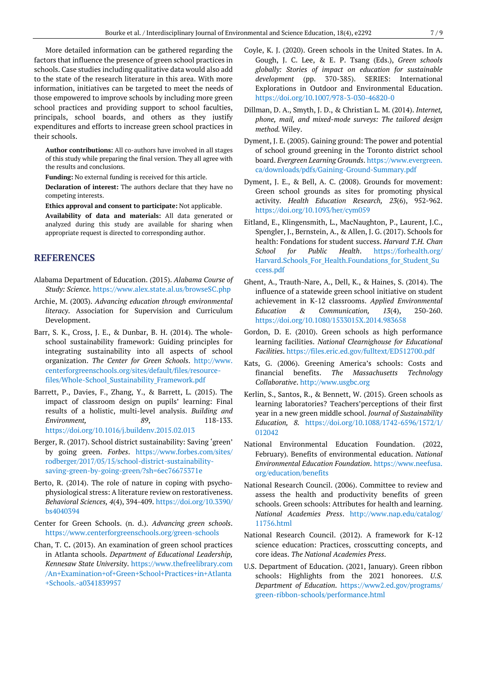More detailed information can be gathered regarding the factors that influence the presence of green school practices in schools. Case studies including qualitative data would also add to the state of the research literature in this area. With more information, initiatives can be targeted to meet the needs of those empowered to improve schools by including more green school practices and providing support to school faculties, principals, school boards, and others as they justify expenditures and efforts to increase green school practices in their schools.

**Author contributions:** All co-authors have involved in all stages of this study while preparing the final version. They all agree with the results and conclusions.

**Funding:** No external funding is received for this article.

**Declaration of interest:** The authors declare that they have no competing interests.

**Ethics approval and consent to participate:** Not applicable.

**Availability of data and materials:** All data generated or analyzed during this study are available for sharing when appropriate request is directed to corresponding author.

# **REFERENCES**

- Alabama Department of Education. (2015). *Alabama Course of Study: Science.* <https://www.alex.state.al.us/browseSC.php>
- Archie, M. (2003). *Advancing education through environmental literacy*. Association for Supervision and Curriculum Development.
- Barr, S. K., Cross, J. E., & Dunbar, B. H. (2014). The wholeschool sustainability framework: Guiding principles for integrating sustainability into all aspects of school organization. *The Center for Green Schools*. [http://www.](http://www.centerforgreenschools.org/sites/default/files/resource-files/Whole-School_Sustainability_Framework.pdf) [centerforgreenschools.org/sites/default/files/resource](http://www.centerforgreenschools.org/sites/default/files/resource-files/Whole-School_Sustainability_Framework.pdf)[files/Whole-School\\_Sustainability\\_Framework.pdf](http://www.centerforgreenschools.org/sites/default/files/resource-files/Whole-School_Sustainability_Framework.pdf)
- Barrett, P., Davies, F., Zhang, Y., & Barrett, L. (2015). The impact of classroom design on pupils' learning: Final results of a holistic, multi-level analysis. *Building and Environment, 89*, 118-133. <https://doi.org/10.1016/j.buildenv.2015.02.013>
- Berger, R. (2017). School district sustainability: Saving 'green' by going green. *Forbes*. [https://www.forbes.com/sites/](https://www.forbes.com/sites/rodberger/2017/05/15/school-district-sustainability-saving-green-by-going-green/?sh=6ec76675371e) [rodberger/2017/05/15/school-district-sustainability](https://www.forbes.com/sites/rodberger/2017/05/15/school-district-sustainability-saving-green-by-going-green/?sh=6ec76675371e)[saving-green-by-going-green/?sh=6ec76675371e](https://www.forbes.com/sites/rodberger/2017/05/15/school-district-sustainability-saving-green-by-going-green/?sh=6ec76675371e)
- Berto, R. (2014). The role of nature in coping with psychophysiological stress: A literature review on restorativeness. *Behavioral Sciences, 4*(4), 394-409. [https://doi.org/10.3390/](https://doi.org/10.3390/bs4040394) [bs4040394](https://doi.org/10.3390/bs4040394)
- Center for Green Schools. (n. d.). *Advancing green schools*. <https://www.centerforgreenschools.org/green-schools>
- Chan, T. C**.** (2013). An examination of green school practices in Atlanta schools. *Department of Educational Leadership, Kennesaw State University*. [https://www.thefreelibrary.com](https://www.thefreelibrary.com/An+Examination+of+Green+School+Practices+in+Atlanta+Schools.-a0341839957) [/An+Examination+of+Green+School+Practices+in+Atlanta](https://www.thefreelibrary.com/An+Examination+of+Green+School+Practices+in+Atlanta+Schools.-a0341839957) [+Schools.-a0341839957](https://www.thefreelibrary.com/An+Examination+of+Green+School+Practices+in+Atlanta+Schools.-a0341839957)
- Coyle, K. J. (2020). Green schools in the United States. In A. Gough, J. C. Lee, & E. P. Tsang (Eds.), *Green schools globally: Stories of impact on education for sustainable development* (pp. 370-385). SERIES: International Explorations in Outdoor and Environmental Education. <https://doi.org/10.1007/978-3-030-46820-0>
- Dillman, D. A., Smyth, J. D., & Christian L. M. (2014). *Internet, phone, mail, and mixed-mode surveys: The tailored design method.* Wiley.
- Dyment, J. E. (2005). Gaining ground: The power and potential of school ground greening in the Toronto district school board. *Evergreen Learning Grounds*. [https://www.evergreen.](https://www.evergreen.ca/downloads/pdfs/Gaining-Ground-Summary.pdf) [ca/downloads/pdfs/Gaining-Ground-Summary.pdf](https://www.evergreen.ca/downloads/pdfs/Gaining-Ground-Summary.pdf)
- Dyment, J. E., & Bell, A. C. (2008). Grounds for movement: Green school grounds as sites for promoting physical activity. *Health Education Research, 23*(6), 952-962. <https://doi.org/10.1093/her/cym059>
- Eitland, E., Klingensmith, L., MacNaughton, P., Laurent, J.C., Spengler, J., Bernstein, A., & Allen, J. G. (2017). Schools for health: Fondations for student success. *Harvard T.H. Chan School for Public Health*. [https://forhealth.org/](https://forhealth.org/Harvard.Schools_For_Health.Foundations_for_Student_Success.pdf) Harvard.Schools For Health.Foundations for Student Su [ccess.pdf](https://forhealth.org/Harvard.Schools_For_Health.Foundations_for_Student_Success.pdf)
- Ghent, A., Trauth-Nare, A., Dell, K., & Haines, S. (2014). The influence of a statewide green school initiative on student achievement in K-12 classrooms. *Applied Environmental Education & Communication, 13*(4), 250-260. <https://doi.org/10.1080/1533015X.2014.983658>
- Gordon, D. E. (2010). Green schools as high performance learning facilities. *National Clearnighouse for Educational Facilities*. <https://files.eric.ed.gov/fulltext/ED512700.pdf>
- Kats, G. (2006). Greening America's schools: Costs and financial benefits. *The Massachusetts Technology Collaborative*. [http://www.usgbc.org](http://www.usgbc.org/)
- Kerlin, S., Santos, R., & Bennett, W. (2015). Green schools as learning laboratories? Teachers'perceptions of their first year in a new green middle school. *Journal of Sustainability Education, 8.* [https://doi.org/10.1088/1742-6596/1572/1/](https://doi.org/10.1088/1742-6596/1572/1/012042) [012042](https://doi.org/10.1088/1742-6596/1572/1/012042)
- National Environmental Education Foundation. (2022, February). Benefits of environmental education. *National Environmental Education Foundation*. [https://www.neefusa.](https://www.neefusa.org/education/benefits) [org/education/benefits](https://www.neefusa.org/education/benefits)
- National Research Council. (2006). Committee to review and assess the health and productivity benefits of green schools. Green schools: Attributes for health and learning. *National Academies Press*. [http://www.nap.edu/catalog/](http://www.nap.edu/catalog/11756.html) [11756.html](http://www.nap.edu/catalog/11756.html)
- National Research Council. (2012). A framework for K-12 science education: Practices, crosscutting concepts, and core ideas. *The National Academies Press*.
- U.S. Department of Education. (2021, January). Green ribbon schools: Highlights from the 2021 honorees. *U.S. Department of Education.* [https://www2.ed.gov/programs/](https://www2.ed.gov/programs/green-ribbon-schools/performance.html) [green-ribbon-schools/performance.html](https://www2.ed.gov/programs/green-ribbon-schools/performance.html)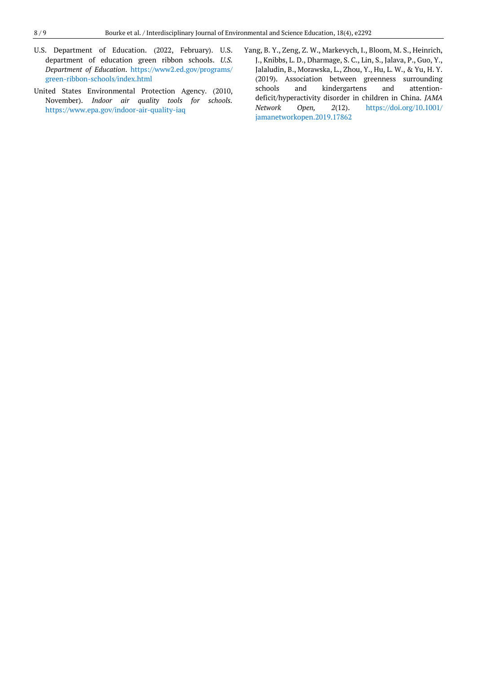- U.S. Department of Education. (2022, February). U.S. department of education green ribbon schools. *U.S. Department of Education*. [https://www2.ed.gov/programs/](https://www2.ed.gov/programs/green-ribbon-schools/index.html) [green-ribbon-schools/index.html](https://www2.ed.gov/programs/green-ribbon-schools/index.html)
- United States Environmental Protection Agency. (2010, November). *Indoor air quality tools for schools.* <https://www.epa.gov/indoor-air-quality-iaq>
- Yang, B. Y., Zeng, Z. W., Markevych, I., Bloom, M. S., Heinrich, J., Knibbs, L. D., Dharmage, S. C., Lin, S., Jalava, P., Guo, Y., Jalaludin, B., Morawska, L., Zhou, Y., Hu, L. W., & Yu, H. Y. (2019). Association between greenness surrounding schools and kindergartens and attentiondeficit/hyperactivity disorder in children in China. *JAMA Network Open, 2*(12). [https://doi.org/10.1001/](https://doi.org/10.1001/jamanetworkopen.2019.17862) [jamanetworkopen.2019.17862](https://doi.org/10.1001/jamanetworkopen.2019.17862)